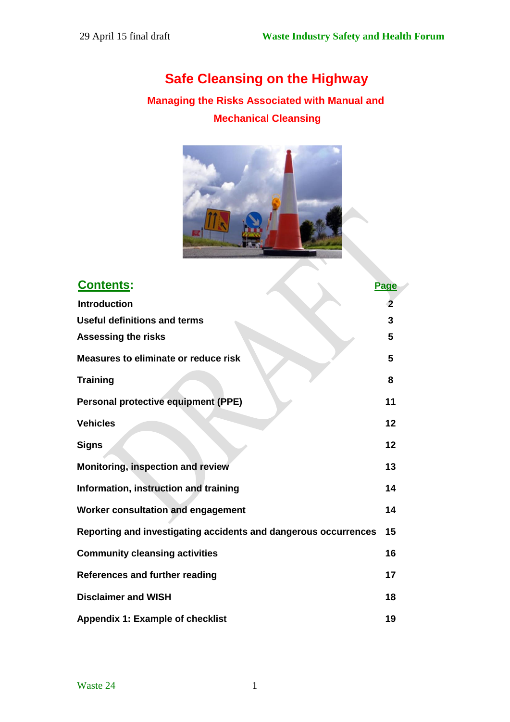# **Safe Cleansing on the Highway**

## **Managing the Risks Associated with Manual and Mechanical Cleansing**



| <b>Contents:</b>                                                | <b>Page</b> |
|-----------------------------------------------------------------|-------------|
| <b>Introduction</b>                                             | $\mathbf 2$ |
| <b>Useful definitions and terms</b>                             | 3           |
| <b>Assessing the risks</b>                                      | 5           |
| <b>Measures to eliminate or reduce risk</b>                     | 5           |
| <b>Training</b>                                                 | 8           |
| <b>Personal protective equipment (PPE)</b>                      | 11          |
| <b>Vehicles</b>                                                 | 12          |
| <b>Signs</b>                                                    | 12          |
| Monitoring, inspection and review                               | 13          |
| Information, instruction and training                           | 14          |
| Worker consultation and engagement                              | 14          |
| Reporting and investigating accidents and dangerous occurrences | 15          |
| <b>Community cleansing activities</b>                           | 16          |
| References and further reading                                  | 17          |
| <b>Disclaimer and WISH</b>                                      | 18          |
| Appendix 1: Example of checklist                                | 19          |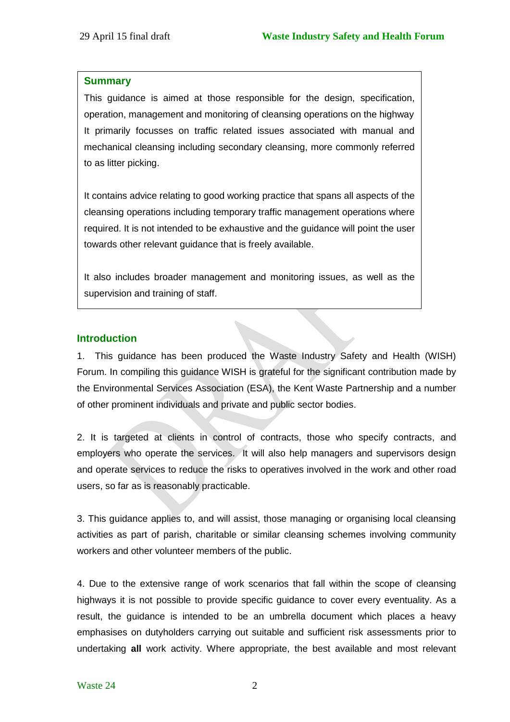#### **Summary**

This guidance is aimed at those responsible for the design, specification, operation, management and monitoring of cleansing operations on the highway It primarily focusses on traffic related issues associated with manual and mechanical cleansing including secondary cleansing, more commonly referred to as litter picking.

It contains advice relating to good working practice that spans all aspects of the cleansing operations including temporary traffic management operations where required. It is not intended to be exhaustive and the guidance will point the user towards other relevant guidance that is freely available.

It also includes broader management and monitoring issues, as well as the supervision and training of staff.

### **Introduction**

1. This guidance has been produced the Waste Industry Safety and Health (WISH) Forum. In compiling this guidance WISH is grateful for the significant contribution made by the Environmental Services Association (ESA), the Kent Waste Partnership and a number of other prominent individuals and private and public sector bodies.

2. It is targeted at clients in control of contracts, those who specify contracts, and employers who operate the services. It will also help managers and supervisors design and operate services to reduce the risks to operatives involved in the work and other road users, so far as is reasonably practicable.

3. This guidance applies to, and will assist, those managing or organising local cleansing activities as part of parish, charitable or similar cleansing schemes involving community workers and other volunteer members of the public.

4. Due to the extensive range of work scenarios that fall within the scope of cleansing highways it is not possible to provide specific guidance to cover every eventuality. As a result, the guidance is intended to be an umbrella document which places a heavy emphasises on dutyholders carrying out suitable and sufficient risk assessments prior to undertaking **all** work activity. Where appropriate, the best available and most relevant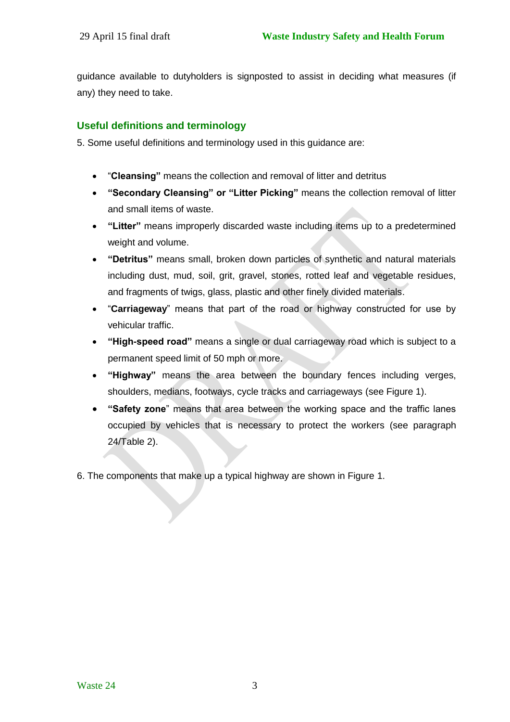guidance available to dutyholders is signposted to assist in deciding what measures (if any) they need to take.

### **Useful definitions and terminology**

5. Some useful definitions and terminology used in this guidance are:

- "**Cleansing"** means the collection and removal of litter and detritus
- **"Secondary Cleansing" or "Litter Picking"** means the collection removal of litter and small items of waste.
- **"Litter"** means improperly discarded waste including items up to a predetermined weight and volume.
- **"Detritus"** means small, broken down particles of synthetic and natural materials including dust, mud, soil, grit, gravel, stones, rotted leaf and vegetable residues, and fragments of twigs, glass, plastic and other finely divided materials.
- "**Carriageway**" means that part of the road or highway constructed for use by vehicular traffic.
- **"High-speed road"** means a single or dual carriageway road which is subject to a permanent speed limit of 50 mph or more.
- **"Highway"** means the area between the boundary fences including verges, shoulders, medians, footways, cycle tracks and carriageways (see Figure 1).
- **"Safety zone**" means that area between the working space and the traffic lanes occupied by vehicles that is necessary to protect the workers (see paragraph 24/Table 2).

6. The components that make up a typical highway are shown in Figure 1.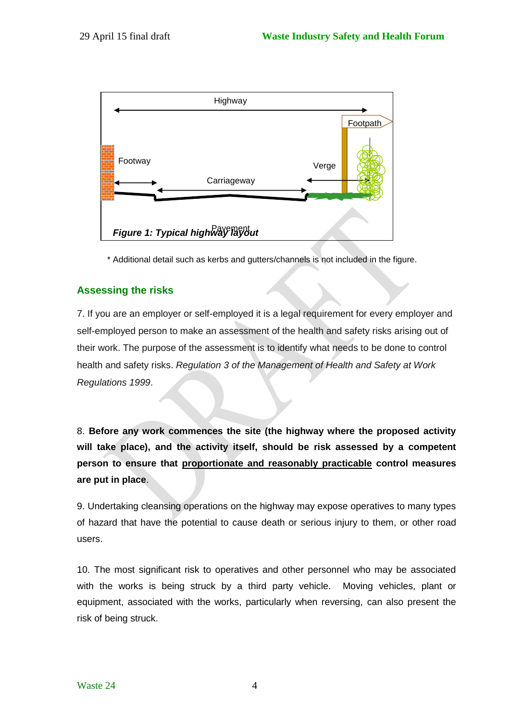

\* Additional detail such as kerbs and gutters/channels is not included in the figure.

### **Assessing the risks**

7. If you are an employer or self-employed it is a legal requirement for every employer and self-employed person to make an assessment of the health and safety risks arising out of their work. The purpose of the assessment is to identify what needs to be done to control health and safety risks. *Regulation 3 of the Management of Health and Safety at Work Regulations 1999*.

8. **Before any work commences the site (the highway where the proposed activity will take place), and the activity itself, should be risk assessed by a competent person to ensure that proportionate and reasonably practicable control measures are put in place**.

9. Undertaking cleansing operations on the highway may expose operatives to many types of hazard that have the potential to cause death or serious injury to them, or other road users.

10. The most significant risk to operatives and other personnel who may be associated with the works is being struck by a third party vehicle. Moving vehicles, plant or equipment, associated with the works, particularly when reversing, can also present the risk of being struck.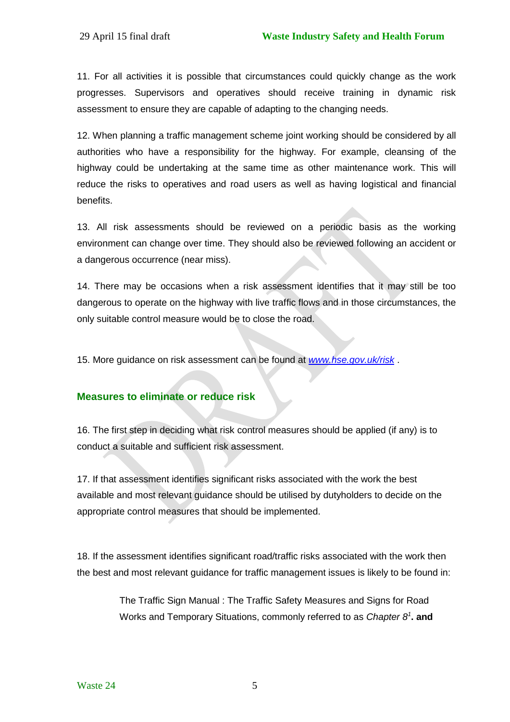11. For all activities it is possible that circumstances could quickly change as the work progresses. Supervisors and operatives should receive training in dynamic risk assessment to ensure they are capable of adapting to the changing needs.

12. When planning a traffic management scheme joint working should be considered by all authorities who have a responsibility for the highway. For example, cleansing of the highway could be undertaking at the same time as other maintenance work. This will reduce the risks to operatives and road users as well as having logistical and financial benefits.

13. All risk assessments should be reviewed on a periodic basis as the working environment can change over time. They should also be reviewed following an accident or a dangerous occurrence (near miss).

14. There may be occasions when a risk assessment identifies that it may still be too dangerous to operate on the highway with live traffic flows and in those circumstances, the only suitable control measure would be to close the road.

15. More guidance on risk assessment can be found at *[www.hse.gov.uk/risk](http://www.hse.gov.uk/risk)* .

#### **Measures to eliminate or reduce risk**

16. The first step in deciding what risk control measures should be applied (if any) is to conduct a suitable and sufficient risk assessment.

17. If that assessment identifies significant risks associated with the work the best available and most relevant guidance should be utilised by dutyholders to decide on the appropriate control measures that should be implemented.

18. If the assessment identifies significant road/traffic risks associated with the work then the best and most relevant guidance for traffic management issues is likely to be found in:

> The Traffic Sign Manual : The Traffic Safety Measures and Signs for Road Works and Temporary Situations, commonly referred to as *Chapter 8<sup>1</sup>* **. and**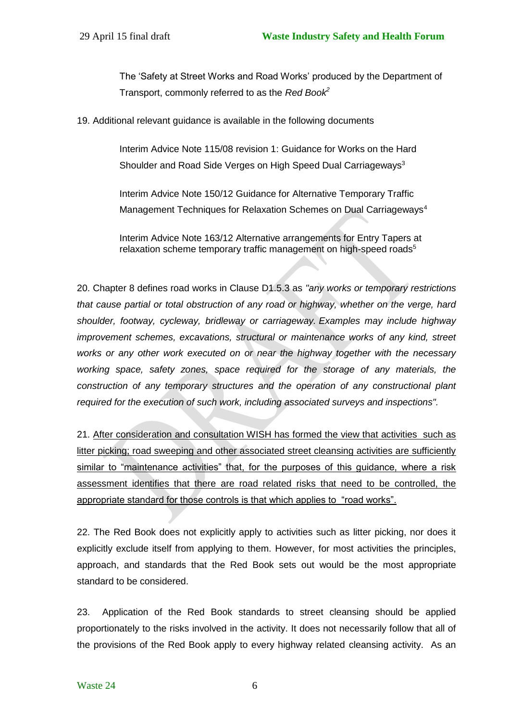The 'Safety at Street Works and Road Works' produced by the Department of Transport, commonly referred to as the *Red Book<sup>2</sup>*

19. Additional relevant guidance is available in the following documents

Interim Advice Note 115/08 revision 1: Guidance for Works on the Hard Shoulder and Road Side Verges on High Speed Dual Carriageways<sup>3</sup>

Interim Advice Note 150/12 Guidance for Alternative Temporary Traffic Management Techniques for Relaxation Schemes on Dual Carriageways<sup>4</sup>

Interim Advice Note 163/12 Alternative arrangements for Entry Tapers at relaxation scheme temporary traffic management on high-speed roads<sup>5</sup>

20. Chapter 8 defines road works in Clause D1.5.3 as *"any works or temporary restrictions that cause partial or total obstruction of any road or highway, whether on the verge, hard shoulder, footway, cycleway, bridleway or carriageway. Examples may include highway improvement schemes, excavations, structural or maintenance works of any kind, street works or any other work executed on or near the highway together with the necessary working space, safety zones, space required for the storage of any materials, the construction of any temporary structures and the operation of any constructional plant required for the execution of such work, including associated surveys and inspections".*

21. After consideration and consultation WISH has formed the view that activities such as litter picking; road sweeping and other associated street cleansing activities are sufficiently similar to "maintenance activities" that, for the purposes of this guidance, where a risk assessment identifies that there are road related risks that need to be controlled, the appropriate standard for those controls is that which applies to "road works".

22. The Red Book does not explicitly apply to activities such as litter picking, nor does it explicitly exclude itself from applying to them. However, for most activities the principles, approach, and standards that the Red Book sets out would be the most appropriate standard to be considered.

23. Application of the Red Book standards to street cleansing should be applied proportionately to the risks involved in the activity. It does not necessarily follow that all of the provisions of the Red Book apply to every highway related cleansing activity. As an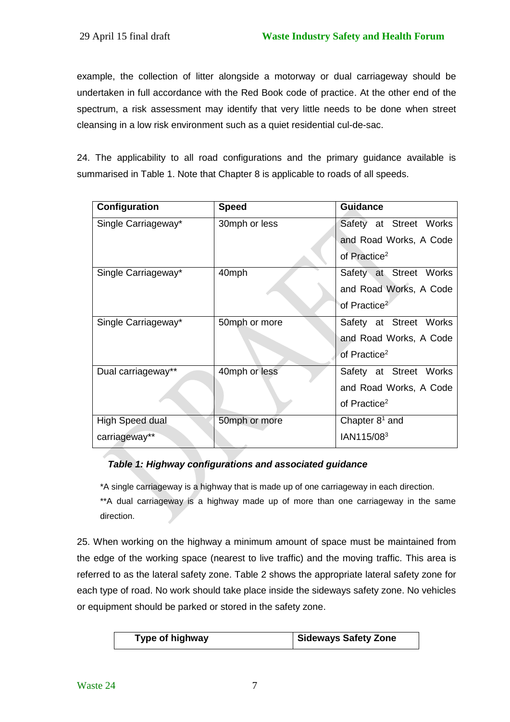example, the collection of litter alongside a motorway or dual carriageway should be undertaken in full accordance with the Red Book code of practice. At the other end of the spectrum, a risk assessment may identify that very little needs to be done when street cleansing in a low risk environment such as a quiet residential cul-de-sac.

24. The applicability to all road configurations and the primary guidance available is summarised in Table 1. Note that Chapter 8 is applicable to roads of all speeds.

| Configuration          | <b>Speed</b>  | <b>Guidance</b>          |
|------------------------|---------------|--------------------------|
| Single Carriageway*    | 30mph or less | Safety at Street Works   |
|                        |               | and Road Works, A Code   |
|                        |               | of Practice <sup>2</sup> |
| Single Carriageway*    | 40mph         | Safety at Street Works   |
|                        |               | and Road Works, A Code   |
|                        |               | of Practice <sup>2</sup> |
| Single Carriageway*    | 50mph or more | Safety at Street Works   |
|                        |               | and Road Works, A Code   |
|                        |               | of Practice <sup>2</sup> |
| Dual carriageway**     | 40mph or less | Safety at Street Works   |
|                        |               | and Road Works, A Code   |
|                        |               | of Practice <sup>2</sup> |
| <b>High Speed dual</b> | 50mph or more | Chapter $81$ and         |
| carriageway**          |               | IAN115/08 <sup>3</sup>   |

### *Table 1: Highway configurations and associated guidance*

\*A single carriageway is a highway that is made up of one carriageway in each direction.

\*\*A dual carriageway is a highway made up of more than one carriageway in the same direction.

25. When working on the highway a minimum amount of space must be maintained from the edge of the working space (nearest to live traffic) and the moving traffic. This area is referred to as the lateral safety zone. Table 2 shows the appropriate lateral safety zone for each type of road. No work should take place inside the sideways safety zone. No vehicles or equipment should be parked or stored in the safety zone.

| Sideways Safety Zone<br>Type of highway |  |
|-----------------------------------------|--|
|-----------------------------------------|--|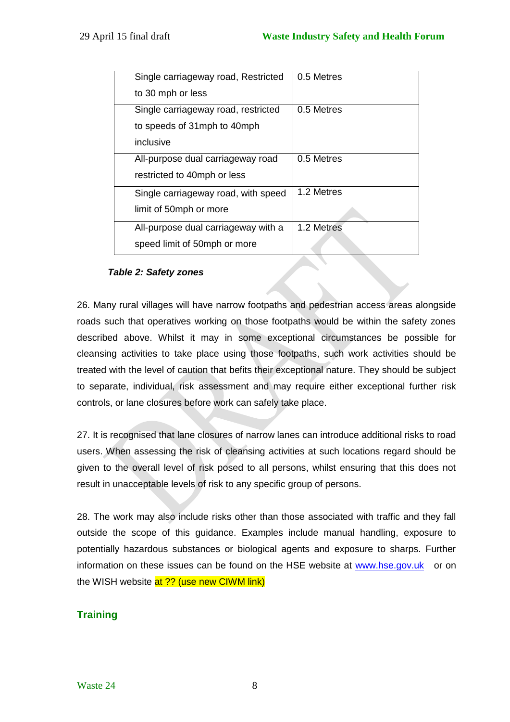| 0.5 Metres |
|------------|
|            |
| 0.5 Metres |
|            |
|            |
| 0.5 Metres |
|            |
| 1.2 Metres |
|            |
| 1.2 Metres |
|            |
|            |

#### *Table 2: Safety zones*

26. Many rural villages will have narrow footpaths and pedestrian access areas alongside roads such that operatives working on those footpaths would be within the safety zones described above. Whilst it may in some exceptional circumstances be possible for cleansing activities to take place using those footpaths, such work activities should be treated with the level of caution that befits their exceptional nature. They should be subject to separate, individual, risk assessment and may require either exceptional further risk controls, or lane closures before work can safely take place.

27. It is recognised that lane closures of narrow lanes can introduce additional risks to road users. When assessing the risk of cleansing activities at such locations regard should be given to the overall level of risk posed to all persons, whilst ensuring that this does not result in unacceptable levels of risk to any specific group of persons.

28. The work may also include risks other than those associated with traffic and they fall outside the scope of this guidance. Examples include manual handling, exposure to potentially hazardous substances or biological agents and exposure to sharps. Further information on these issues can be found on the HSE website at [www.hse.gov.uk](http://www.hse.gov.uk/) or on the WISH website at ?? (use new CIWM link)

## **Training**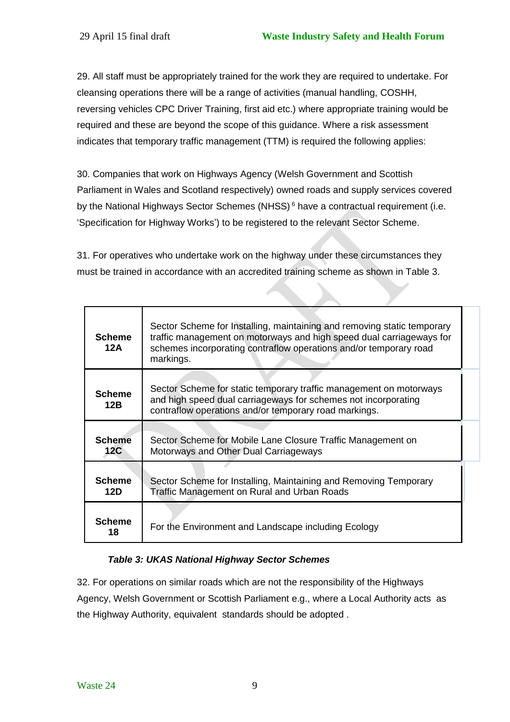29. All staff must be appropriately trained for the work they are required to undertake. For cleansing operations there will be a range of activities (manual handling, COSHH, reversing vehicles CPC Driver Training, first aid etc.) where appropriate training would be required and these are beyond the scope of this guidance. Where a risk assessment indicates that temporary traffic management (TTM) is required the following applies:

30. Companies that work on Highways Agency (Welsh Government and Scottish Parliament in Wales and Scotland respectively) owned roads and supply services covered by the National Highways Sector Schemes (NHSS)<sup>6</sup> have a contractual requirement (i.e. 'Specification for Highway Works') to be registered to the relevant Sector Scheme.

31. For operatives who undertake work on the highway under these circumstances they must be trained in accordance with an accredited training scheme as shown in Table 3.

| <b>Scheme</b><br>12A | Sector Scheme for Installing, maintaining and removing static temporary<br>traffic management on motorways and high speed dual carriageways for<br>schemes incorporating contraflow operations and/or temporary road<br>markings. |  |
|----------------------|-----------------------------------------------------------------------------------------------------------------------------------------------------------------------------------------------------------------------------------|--|
| <b>Scheme</b><br>12B | Sector Scheme for static temporary traffic management on motorways<br>and high speed dual carriageways for schemes not incorporating<br>contraflow operations and/or temporary road markings.                                     |  |
| <b>Scheme</b><br>12C | Sector Scheme for Mobile Lane Closure Traffic Management on<br>Motorways and Other Dual Carriageways                                                                                                                              |  |
| <b>Scheme</b><br>12D | Sector Scheme for Installing, Maintaining and Removing Temporary<br>Traffic Management on Rural and Urban Roads                                                                                                                   |  |
| <b>Scheme</b><br>18  | For the Environment and Landscape including Ecology                                                                                                                                                                               |  |

### *Table 3: UKAS National Highway Sector Schemes*

32. For operations on similar roads which are not the responsibility of the Highways Agency, Welsh Government or Scottish Parliament e.g., where a Local Authority acts as the Highway Authority, equivalent standards should be adopted .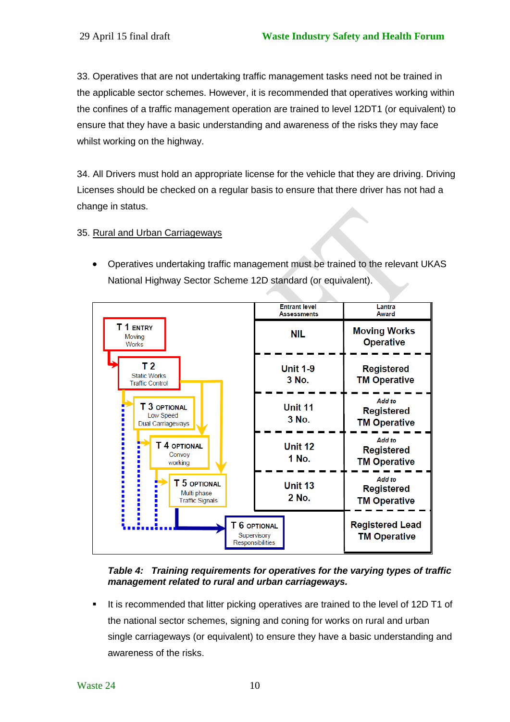33. Operatives that are not undertaking traffic management tasks need not be trained in the applicable sector schemes. However, it is recommended that operatives working within the confines of a traffic management operation are trained to level 12DT1 (or equivalent) to ensure that they have a basic understanding and awareness of the risks they may face whilst working on the highway.

34. All Drivers must hold an appropriate license for the vehicle that they are driving. Driving Licenses should be checked on a regular basis to ensure that there driver has not had a change in status.

#### 35. Rural and Urban Carriageways

 Operatives undertaking traffic management must be trained to the relevant UKAS National Highway Sector Scheme 12D standard (or equivalent).



#### *Table 4: Training requirements for operatives for the varying types of traffic management related to rural and urban carriageways.*

 It is recommended that litter picking operatives are trained to the level of 12D T1 of the national sector schemes, signing and coning for works on rural and urban single carriageways (or equivalent) to ensure they have a basic understanding and awareness of the risks.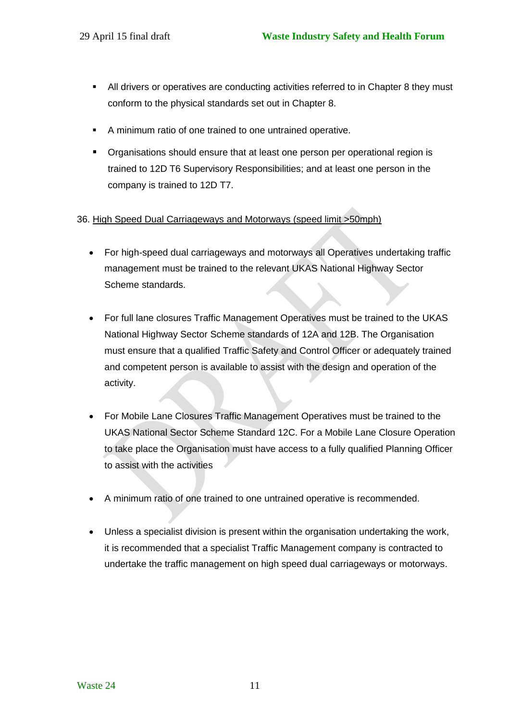- All drivers or operatives are conducting activities referred to in Chapter 8 they must conform to the physical standards set out in Chapter 8.
- A minimum ratio of one trained to one untrained operative.
- **•** Organisations should ensure that at least one person per operational region is trained to 12D T6 Supervisory Responsibilities; and at least one person in the company is trained to 12D T7.

#### 36. High Speed Dual Carriageways and Motorways (speed limit >50mph)

- For high-speed dual carriageways and motorways all Operatives undertaking traffic management must be trained to the relevant UKAS National Highway Sector Scheme standards.
- For full lane closures Traffic Management Operatives must be trained to the UKAS National Highway Sector Scheme standards of 12A and 12B. The Organisation must ensure that a qualified Traffic Safety and Control Officer or adequately trained and competent person is available to assist with the design and operation of the activity.
- For Mobile Lane Closures Traffic Management Operatives must be trained to the UKAS National Sector Scheme Standard 12C. For a Mobile Lane Closure Operation to take place the Organisation must have access to a fully qualified Planning Officer to assist with the activities
- A minimum ratio of one trained to one untrained operative is recommended.
- Unless a specialist division is present within the organisation undertaking the work, it is recommended that a specialist Traffic Management company is contracted to undertake the traffic management on high speed dual carriageways or motorways.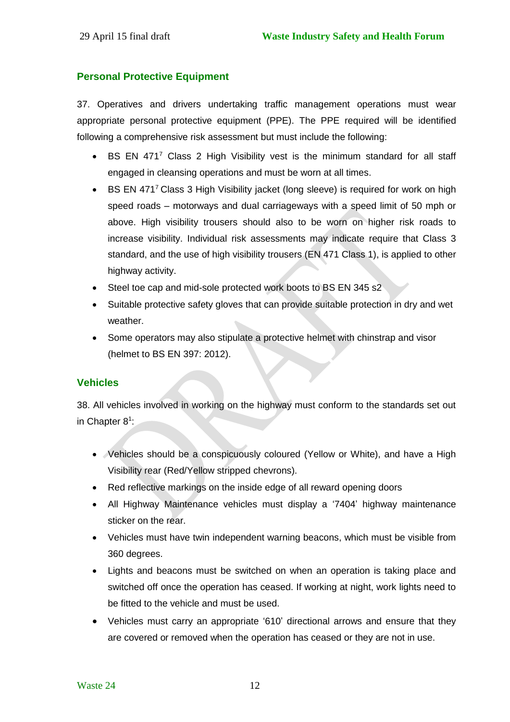#### **Personal Protective Equipment**

37. Operatives and drivers undertaking traffic management operations must wear appropriate personal protective equipment (PPE). The PPE required will be identified following a comprehensive risk assessment but must include the following:

- BS EN 471<sup>7</sup> Class 2 High Visibility vest is the minimum standard for all staff engaged in cleansing operations and must be worn at all times.
- **BURFER 4717 Class 3 High Visibility jacket (long sleeve) is required for work on high** speed roads – motorways and dual carriageways with a speed limit of 50 mph or above. High visibility trousers should also to be worn on higher risk roads to increase visibility. Individual risk assessments may indicate require that Class 3 standard, and the use of high visibility trousers (EN 471 Class 1), is applied to other highway activity.
- Steel toe cap and mid-sole protected work boots to BS EN 345 s2
- Suitable protective safety gloves that can provide suitable protection in dry and wet weather.
- Some operators may also stipulate a protective helmet with chinstrap and visor (helmet to BS EN 397: 2012).

#### **Vehicles**

38. All vehicles involved in working on the highway must conform to the standards set out in Chapter 8<sup>1</sup>:

- Vehicles should be a conspicuously coloured (Yellow or White), and have a High Visibility rear (Red/Yellow stripped chevrons).
- Red reflective markings on the inside edge of all reward opening doors
- All Highway Maintenance vehicles must display a '7404' highway maintenance sticker on the rear.
- Vehicles must have twin independent warning beacons, which must be visible from 360 degrees.
- Lights and beacons must be switched on when an operation is taking place and switched off once the operation has ceased. If working at night, work lights need to be fitted to the vehicle and must be used.
- Vehicles must carry an appropriate '610' directional arrows and ensure that they are covered or removed when the operation has ceased or they are not in use.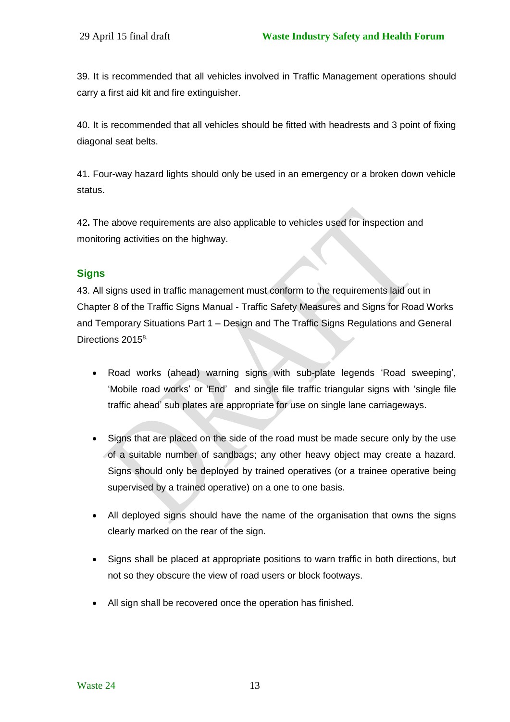39. It is recommended that all vehicles involved in Traffic Management operations should carry a first aid kit and fire extinguisher.

40. It is recommended that all vehicles should be fitted with headrests and 3 point of fixing diagonal seat belts.

41. Four-way hazard lights should only be used in an emergency or a broken down vehicle status.

42**.** The above requirements are also applicable to vehicles used for inspection and monitoring activities on the highway.

## **Signs**

43. All signs used in traffic management must conform to the requirements laid out in Chapter 8 of the Traffic Signs Manual - Traffic Safety Measures and Signs for Road Works and Temporary Situations Part 1 – Design and The Traffic Signs Regulations and General Directions 2015<sup>8.</sup>

- Road works (ahead) warning signs with sub-plate legends 'Road sweeping', 'Mobile road works' or 'End' and single file traffic triangular signs with 'single file traffic ahead' sub plates are appropriate for use on single lane carriageways.
- Signs that are placed on the side of the road must be made secure only by the use of a suitable number of sandbags; any other heavy object may create a hazard. Signs should only be deployed by trained operatives (or a trainee operative being supervised by a trained operative) on a one to one basis.
- All deployed signs should have the name of the organisation that owns the signs clearly marked on the rear of the sign.
- Signs shall be placed at appropriate positions to warn traffic in both directions, but not so they obscure the view of road users or block footways.
- All sign shall be recovered once the operation has finished.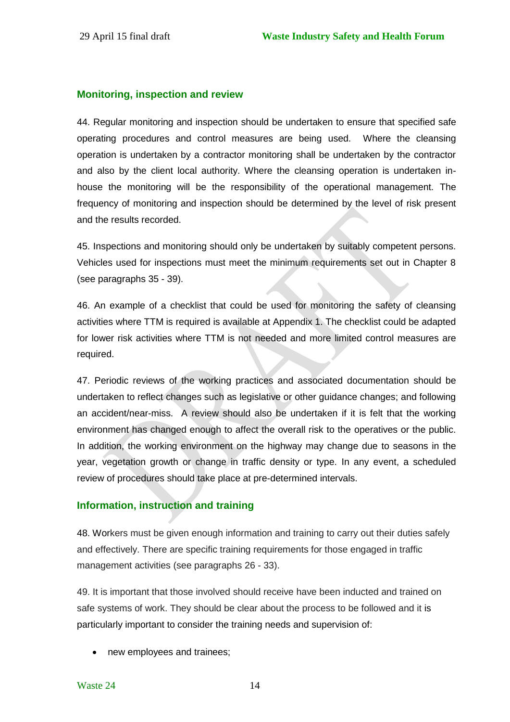#### **Monitoring, inspection and review**

44. Regular monitoring and inspection should be undertaken to ensure that specified safe operating procedures and control measures are being used. Where the cleansing operation is undertaken by a contractor monitoring shall be undertaken by the contractor and also by the client local authority. Where the cleansing operation is undertaken inhouse the monitoring will be the responsibility of the operational management. The frequency of monitoring and inspection should be determined by the level of risk present and the results recorded.

45. Inspections and monitoring should only be undertaken by suitably competent persons. Vehicles used for inspections must meet the minimum requirements set out in Chapter 8 (see paragraphs 35 - 39).

46. An example of a checklist that could be used for monitoring the safety of cleansing activities where TTM is required is available at Appendix 1. The checklist could be adapted for lower risk activities where TTM is not needed and more limited control measures are required.

47. Periodic reviews of the working practices and associated documentation should be undertaken to reflect changes such as legislative or other guidance changes; and following an accident/near-miss. A review should also be undertaken if it is felt that the working environment has changed enough to affect the overall risk to the operatives or the public. In addition, the working environment on the highway may change due to seasons in the year, vegetation growth or change in traffic density or type. In any event, a scheduled review of procedures should take place at pre-determined intervals.

### **Information, instruction and training**

48. Workers must be given enough information and training to carry out their duties safely and effectively. There are specific training requirements for those engaged in traffic management activities (see paragraphs 26 - 33).

49. It is important that those involved should receive have been inducted and trained on safe systems of work. They should be clear about the process to be followed and it is particularly important to consider the training needs and supervision of:

• new employees and trainees;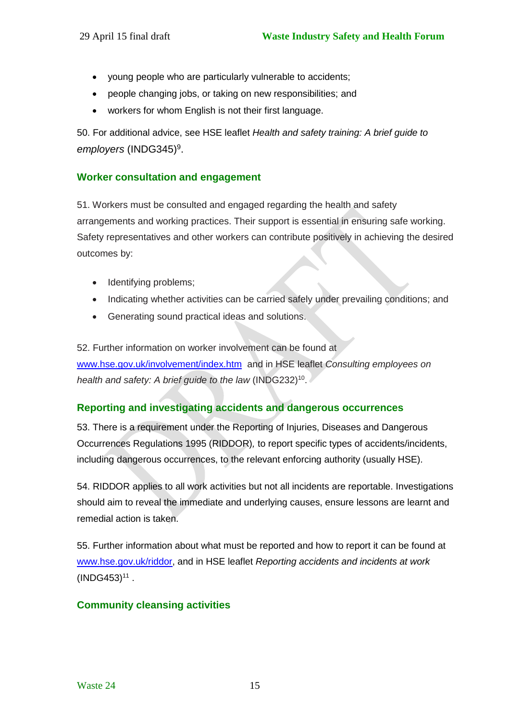- young people who are particularly vulnerable to accidents;
- people changing jobs, or taking on new responsibilities; and
- workers for whom English is not their first language.

50. For additional advice, see HSE leaflet *Health and safety training: A brief guide to*  employers (INDG345)<sup>9</sup>.

### **Worker consultation and engagement**

51. Workers must be consulted and engaged regarding the health and safety arrangements and working practices. Their support is essential in ensuring safe working. Safety representatives and other workers can contribute positively in achieving the desired outcomes by:

- Identifying problems;
- Indicating whether activities can be carried safely under prevailing conditions; and
- Generating sound practical ideas and solutions.

52. Further information on worker involvement can be found at [www.hse.gov.uk/involvement/index.htm](http://www.hse.gov.uk/involvement/index.htm) and in HSE leaflet *Consulting employees on*  health and safety: A brief guide to the law (INDG232)<sup>10</sup>.

#### **Reporting and investigating accidents and dangerous occurrences**

53. There is a requirement under the Reporting of Injuries, Diseases and Dangerous Occurrences Regulations 1995 (RIDDOR)*,* to report specific types of accidents/incidents, including dangerous occurrences, to the relevant enforcing authority (usually HSE)*.* 

54. RIDDOR applies to all work activities but not all incidents are reportable. Investigations should aim to reveal the immediate and underlying causes, ensure lessons are learnt and remedial action is taken.

55. Further information about what must be reported and how to report it can be found at [www.hse.gov.uk/riddor,](http://www.hse.gov.uk/riddor) and in HSE leaflet *Reporting accidents and incidents at work*  $(INDG453)^{11}$ .

### **Community cleansing activities**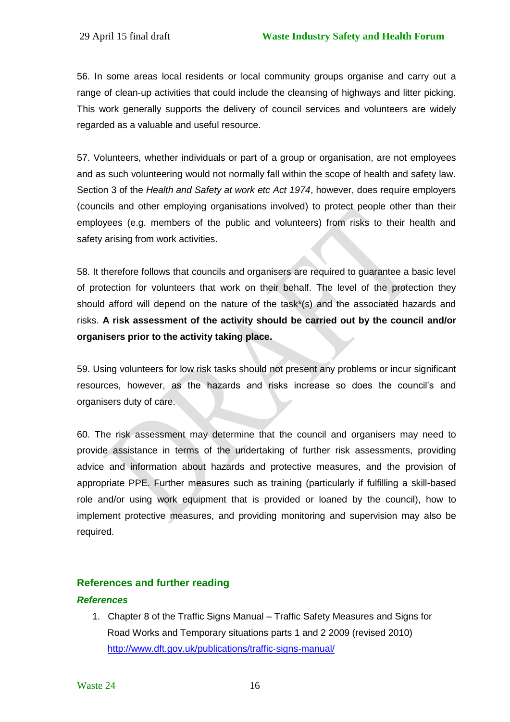56. In some areas local residents or local community groups organise and carry out a range of clean-up activities that could include the cleansing of highways and litter picking. This work generally supports the delivery of council services and volunteers are widely regarded as a valuable and useful resource.

57. Volunteers, whether individuals or part of a group or organisation, are not employees and as such volunteering would not normally fall within the scope of health and safety law. Section 3 of the *Health and Safety at work etc Act 1974*, however, does require employers (councils and other employing organisations involved) to protect people other than their employees (e.g. members of the public and volunteers) from risks to their health and safety arising from work activities.

58. It therefore follows that councils and organisers are required to guarantee a basic level of protection for volunteers that work on their behalf. The level of the protection they should afford will depend on the nature of the task\*(s) and the associated hazards and risks. **A risk assessment of the activity should be carried out by the council and/or organisers prior to the activity taking place.**

59. Using volunteers for low risk tasks should not present any problems or incur significant resources, however, as the hazards and risks increase so does the council's and organisers duty of care.

60. The risk assessment may determine that the council and organisers may need to provide assistance in terms of the undertaking of further risk assessments, providing advice and information about hazards and protective measures, and the provision of appropriate PPE. Further measures such as training (particularly if fulfilling a skill-based role and/or using work equipment that is provided or loaned by the council), how to implement protective measures, and providing monitoring and supervision may also be required.

### **References and further reading**

#### *References*

1. Chapter 8 of the Traffic Signs Manual – Traffic Safety Measures and Signs for Road Works and Temporary situations parts 1 and 2 2009 (revised 2010) <http://www.dft.gov.uk/publications/traffic-signs-manual/>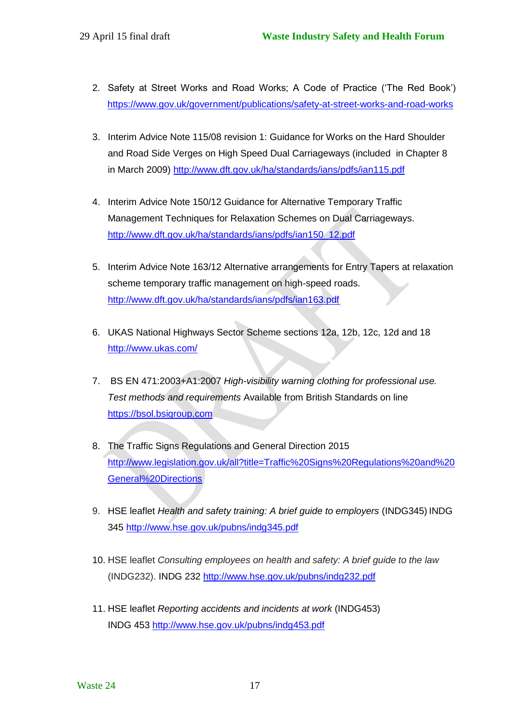- 2. Safety at Street Works and Road Works; A Code of Practice ('The Red Book') <https://www.gov.uk/government/publications/safety-at-street-works-and-road-works>
- 3. Interim Advice Note 115/08 revision 1: Guidance for Works on the Hard Shoulder and Road Side Verges on High Speed Dual Carriageways (included in Chapter 8 in March 2009)<http://www.dft.gov.uk/ha/standards/ians/pdfs/ian115.pdf>
- 4. Interim Advice Note 150/12 Guidance for Alternative Temporary Traffic Management Techniques for Relaxation Schemes on Dual Carriageways. [http://www.dft.gov.uk/ha/standards/ians/pdfs/ian150\\_12.pdf](http://www.dft.gov.uk/ha/standards/ians/pdfs/ian150_12.pdf)
- 5. Interim Advice Note 163/12 Alternative arrangements for Entry Tapers at relaxation scheme temporary traffic management on high-speed roads. <http://www.dft.gov.uk/ha/standards/ians/pdfs/ian163.pdf>
- 6. UKAS National Highways Sector Scheme sections 12a, 12b, 12c, 12d and 18 <http://www.ukas.com/>
- 7. BS EN 471:2003+A1:2007 *High-visibility warning clothing for professional use. Test methods and requirements* Available from British Standards on line [https://bsol.bsigroup.com](https://bsol.bsigroup.com/)
- 8. The Traffic Signs Regulations and General Direction 2015 [http://www.legislation.gov.uk/all?title=Traffic%20Signs%20Regulations%20and%20](http://www.legislation.gov.uk/all?title=Traffic%20Signs%20Regulations%20and%20General%20Directions) [General%20Directions](http://www.legislation.gov.uk/all?title=Traffic%20Signs%20Regulations%20and%20General%20Directions)
- 9. HSE leaflet *Health and safety training: A brief guide to employers* (INDG345) INDG 345<http://www.hse.gov.uk/pubns/indg345.pdf>
- 10. HSE leaflet *Consulting employees on health and safety: A brief guide to the law* (INDG232). INDG 232<http://www.hse.gov.uk/pubns/indg232.pdf>
- 11. HSE leaflet *Reporting accidents and incidents at work* (INDG453) INDG 453<http://www.hse.gov.uk/pubns/indg453.pdf>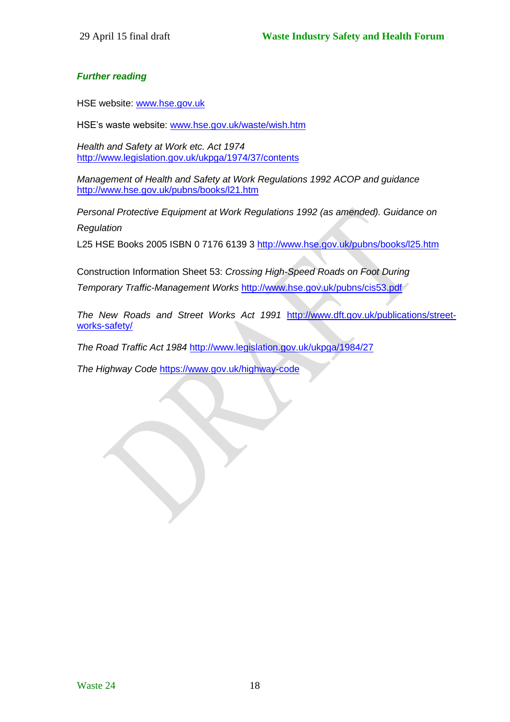#### *Further reading*

HSE website: [www.hse.gov.uk](http://www.hse.gov.uk/)

HSE's waste website: [www.hse.gov.uk/waste/wish.htm](http://www.hse.gov.uk/waste/wish.htm)

*Health and Safety at Work etc. Act 1974* <http://www.legislation.gov.uk/ukpga/1974/37/contents>

*Management of Health and Safety at Work Regulations 1992 ACOP and guidance* <http://www.hse.gov.uk/pubns/books/l21.htm>

*Personal Protective Equipment at Work Regulations 1992 (as amended). Guidance on Regulation*

L25 HSE Books 2005 ISBN 0 7176 6139 3 <http://www.hse.gov.uk/pubns/books/l25.htm>

Construction Information Sheet 53: *Crossing High-Speed Roads on Foot During Temporary Traffic-Management Works* <http://www.hse.gov.uk/pubns/cis53.pdf>

*The New Roads and Street Works Act 1991* [http://www.dft.gov.uk/publications/street](http://www.dft.gov.uk/publications/street-works-safety/)[works-safety/](http://www.dft.gov.uk/publications/street-works-safety/)

*The Road Traffic Act 1984* <http://www.legislation.gov.uk/ukpga/1984/27>

*The Highway Code* <https://www.gov.uk/highway-code>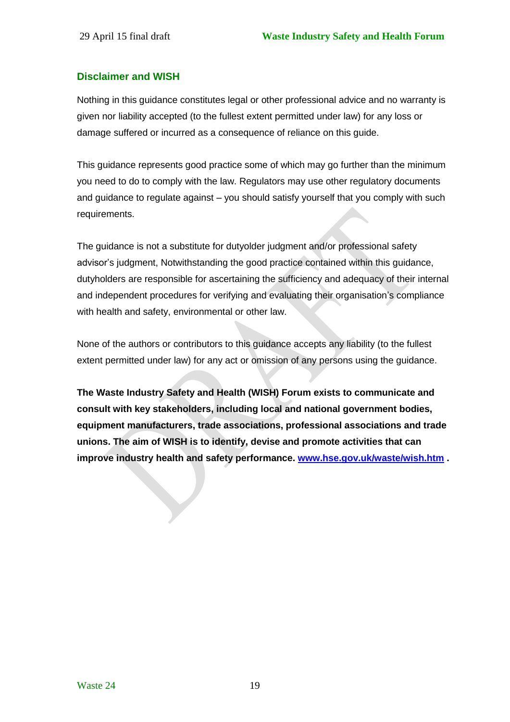### **Disclaimer and WISH**

Nothing in this guidance constitutes legal or other professional advice and no warranty is given nor liability accepted (to the fullest extent permitted under law) for any loss or damage suffered or incurred as a consequence of reliance on this guide.

This guidance represents good practice some of which may go further than the minimum you need to do to comply with the law. Regulators may use other regulatory documents and guidance to regulate against – you should satisfy yourself that you comply with such requirements.

The guidance is not a substitute for dutyolder judgment and/or professional safety advisor's judgment, Notwithstanding the good practice contained within this guidance, dutyholders are responsible for ascertaining the sufficiency and adequacy of their internal and independent procedures for verifying and evaluating their organisation's compliance with health and safety, environmental or other law.

None of the authors or contributors to this guidance accepts any liability (to the fullest extent permitted under law) for any act or omission of any persons using the guidance.

**The Waste Industry Safety and Health (WISH) Forum exists to communicate and consult with key stakeholders, including local and national government bodies, equipment manufacturers, trade associations, professional associations and trade unions. The aim of WISH is to identify, devise and promote activities that can improve industry health and safety performance. [www.hse.gov.uk/waste/wish.htm](http://www.hse.gov.uk/waste/wish.htm) .**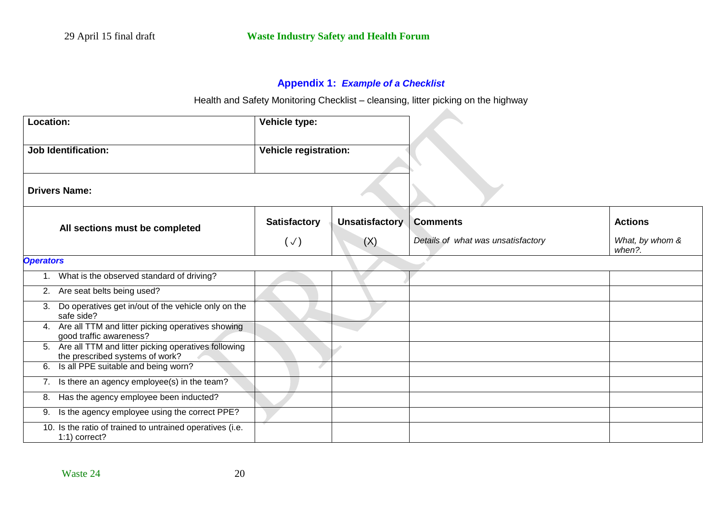## **Appendix 1:** *Example of a Checklist*

Health and Safety Monitoring Checklist – cleansing, litter picking on the highway

 $\Delta \mathbf{r}$ 

| Location:                      |                                                                                        | Vehicle type:       |                |                                    |                           |
|--------------------------------|----------------------------------------------------------------------------------------|---------------------|----------------|------------------------------------|---------------------------|
|                                | <b>Job Identification:</b><br><b>Vehicle registration:</b>                             |                     |                |                                    |                           |
| <b>Drivers Name:</b>           |                                                                                        |                     |                |                                    |                           |
| All sections must be completed |                                                                                        | <b>Satisfactory</b> | Unsatisfactory | <b>Comments</b>                    | <b>Actions</b>            |
|                                |                                                                                        | $(\vee)$            | (X)            | Details of what was unsatisfactory | What, by whom &<br>when?. |
| <b>Operators</b>               |                                                                                        |                     |                |                                    |                           |
|                                | What is the observed standard of driving?                                              |                     |                |                                    |                           |
|                                | 2. Are seat belts being used?                                                          |                     |                |                                    |                           |
| 3.                             | Do operatives get in/out of the vehicle only on the<br>safe side?                      |                     |                |                                    |                           |
| 4.                             | Are all TTM and litter picking operatives showing<br>good traffic awareness?           |                     |                |                                    |                           |
| 5.                             | Are all TTM and litter picking operatives following<br>the prescribed systems of work? |                     |                |                                    |                           |
| 6.                             | Is all PPE suitable and being worn?                                                    |                     |                |                                    |                           |
|                                | 7. Is there an agency employee(s) in the team?                                         |                     |                |                                    |                           |
| 8.                             | Has the agency employee been inducted?                                                 |                     |                |                                    |                           |
| 9.                             | Is the agency employee using the correct PPE?                                          |                     |                |                                    |                           |
|                                | 10. Is the ratio of trained to untrained operatives (i.e.<br>1:1) correct?             |                     |                |                                    |                           |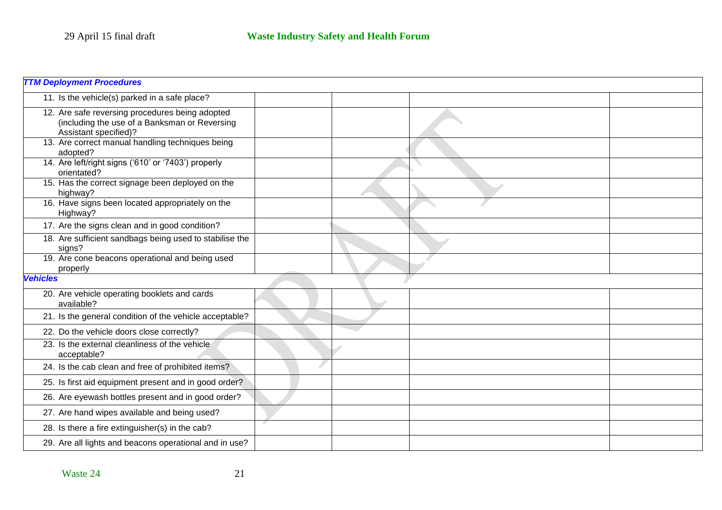| <b>TTM Deployment Procedures</b>                                                                                          |  |  |  |  |
|---------------------------------------------------------------------------------------------------------------------------|--|--|--|--|
| 11. Is the vehicle(s) parked in a safe place?                                                                             |  |  |  |  |
| 12. Are safe reversing procedures being adopted<br>(including the use of a Banksman or Reversing<br>Assistant specified)? |  |  |  |  |
| 13. Are correct manual handling techniques being<br>adopted?                                                              |  |  |  |  |
| 14. Are left/right signs ('610' or '7403') properly<br>orientated?                                                        |  |  |  |  |
| 15. Has the correct signage been deployed on the<br>highway?                                                              |  |  |  |  |
| 16. Have signs been located appropriately on the<br>Highway?                                                              |  |  |  |  |
| 17. Are the signs clean and in good condition?                                                                            |  |  |  |  |
| 18. Are sufficient sandbags being used to stabilise the<br>signs?                                                         |  |  |  |  |
| 19. Are cone beacons operational and being used<br>properly                                                               |  |  |  |  |
| <b>Vehicles</b>                                                                                                           |  |  |  |  |
| 20. Are vehicle operating booklets and cards<br>available?                                                                |  |  |  |  |
| 21. Is the general condition of the vehicle acceptable?                                                                   |  |  |  |  |
| 22. Do the vehicle doors close correctly?                                                                                 |  |  |  |  |
| 23. Is the external cleanliness of the vehicle<br>acceptable?                                                             |  |  |  |  |
| 24. Is the cab clean and free of prohibited items?                                                                        |  |  |  |  |
| 25. Is first aid equipment present and in good order?                                                                     |  |  |  |  |
| 26. Are eyewash bottles present and in good order?                                                                        |  |  |  |  |
| 27. Are hand wipes available and being used?                                                                              |  |  |  |  |
| 28. Is there a fire extinguisher(s) in the cab?                                                                           |  |  |  |  |
| 29. Are all lights and beacons operational and in use?                                                                    |  |  |  |  |